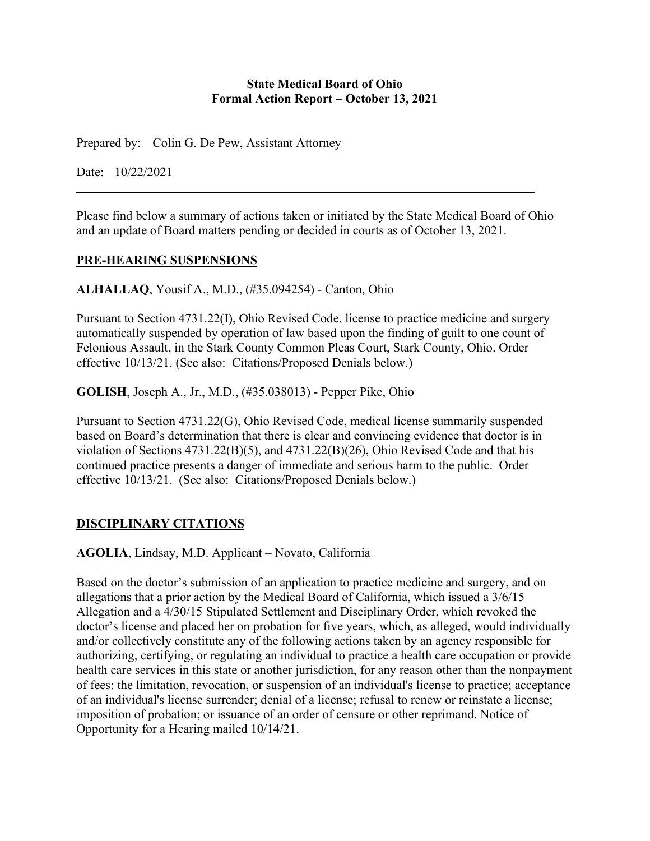#### **State Medical Board of Ohio Formal Action Report – October 13, 2021**

Prepared by: Colin G. De Pew, Assistant Attorney

Date: 10/22/2021

Please find below a summary of actions taken or initiated by the State Medical Board of Ohio and an update of Board matters pending or decided in courts as of October 13, 2021.

#### **PRE-HEARING SUSPENSIONS**

**ALHALLAQ**, Yousif A., M.D., (#35.094254) - Canton, Ohio

Pursuant to Section 4731.22(I), Ohio Revised Code, license to practice medicine and surgery automatically suspended by operation of law based upon the finding of guilt to one count of Felonious Assault, in the Stark County Common Pleas Court, Stark County, Ohio. Order effective 10/13/21. (See also: Citations/Proposed Denials below.)

**GOLISH**, Joseph A., Jr., M.D., (#35.038013) - Pepper Pike, Ohio

Pursuant to Section 4731.22(G), Ohio Revised Code, medical license summarily suspended based on Board's determination that there is clear and convincing evidence that doctor is in violation of Sections 4731.22(B)(5), and 4731.22(B)(26), Ohio Revised Code and that his continued practice presents a danger of immediate and serious harm to the public. Order effective 10/13/21. (See also: Citations/Proposed Denials below.)

### **DISCIPLINARY CITATIONS**

**AGOLIA**, Lindsay, M.D. Applicant – Novato, California

Based on the doctor's submission of an application to practice medicine and surgery, and on allegations that a prior action by the Medical Board of California, which issued a 3/6/15 Allegation and a 4/30/15 Stipulated Settlement and Disciplinary Order, which revoked the doctor's license and placed her on probation for five years, which, as alleged, would individually and/or collectively constitute any of the following actions taken by an agency responsible for authorizing, certifying, or regulating an individual to practice a health care occupation or provide health care services in this state or another jurisdiction, for any reason other than the nonpayment of fees: the limitation, revocation, or suspension of an individual's license to practice; acceptance of an individual's license surrender; denial of a license; refusal to renew or reinstate a license; imposition of probation; or issuance of an order of censure or other reprimand. Notice of Opportunity for a Hearing mailed 10/14/21.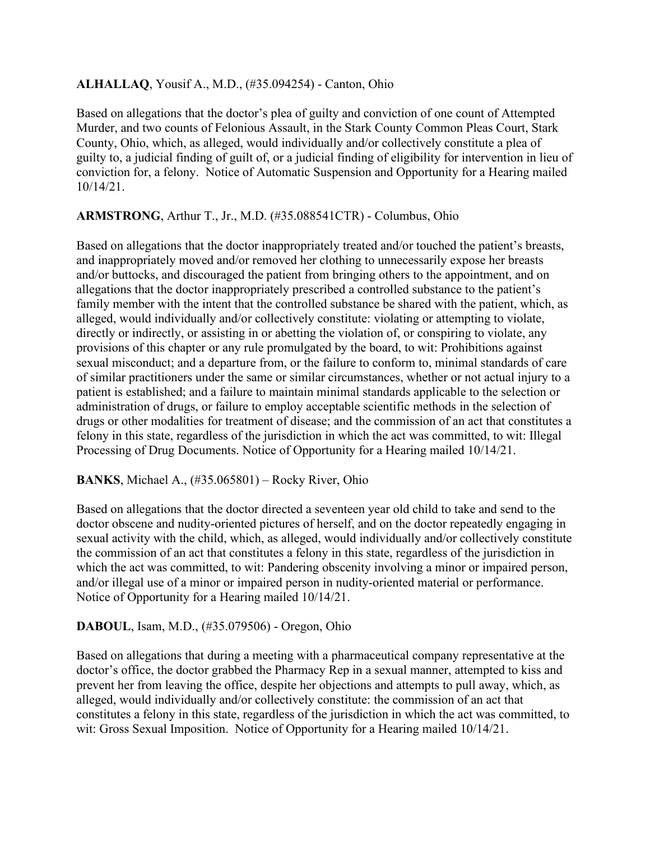### **ALHALLAQ**, Yousif A., M.D., (#35.094254) - Canton, Ohio

Based on allegations that the doctor's plea of guilty and conviction of one count of Attempted Murder, and two counts of Felonious Assault, in the Stark County Common Pleas Court, Stark County, Ohio, which, as alleged, would individually and/or collectively constitute a plea of guilty to, a judicial finding of guilt of, or a judicial finding of eligibility for intervention in lieu of conviction for, a felony. Notice of Automatic Suspension and Opportunity for a Hearing mailed 10/14/21.

## **ARMSTRONG**, Arthur T., Jr., M.D. (#35.088541CTR) - Columbus, Ohio

Based on allegations that the doctor inappropriately treated and/or touched the patient's breasts, and inappropriately moved and/or removed her clothing to unnecessarily expose her breasts and/or buttocks, and discouraged the patient from bringing others to the appointment, and on allegations that the doctor inappropriately prescribed a controlled substance to the patient's family member with the intent that the controlled substance be shared with the patient, which, as alleged, would individually and/or collectively constitute: violating or attempting to violate, directly or indirectly, or assisting in or abetting the violation of, or conspiring to violate, any provisions of this chapter or any rule promulgated by the board, to wit: Prohibitions against sexual misconduct; and a departure from, or the failure to conform to, minimal standards of care of similar practitioners under the same or similar circumstances, whether or not actual injury to a patient is established; and a failure to maintain minimal standards applicable to the selection or administration of drugs, or failure to employ acceptable scientific methods in the selection of drugs or other modalities for treatment of disease; and the commission of an act that constitutes a felony in this state, regardless of the jurisdiction in which the act was committed, to wit: Illegal Processing of Drug Documents. Notice of Opportunity for a Hearing mailed 10/14/21.

### **BANKS**, Michael A., (#35.065801) – Rocky River, Ohio

Based on allegations that the doctor directed a seventeen year old child to take and send to the doctor obscene and nudity-oriented pictures of herself, and on the doctor repeatedly engaging in sexual activity with the child, which, as alleged, would individually and/or collectively constitute the commission of an act that constitutes a felony in this state, regardless of the jurisdiction in which the act was committed, to wit: Pandering obscenity involving a minor or impaired person, and/or illegal use of a minor or impaired person in nudity-oriented material or performance. Notice of Opportunity for a Hearing mailed 10/14/21.

### **DABOUL**, Isam, M.D., (#35.079506) - Oregon, Ohio

Based on allegations that during a meeting with a pharmaceutical company representative at the doctor's office, the doctor grabbed the Pharmacy Rep in a sexual manner, attempted to kiss and prevent her from leaving the office, despite her objections and attempts to pull away, which, as alleged, would individually and/or collectively constitute: the commission of an act that constitutes a felony in this state, regardless of the jurisdiction in which the act was committed, to wit: Gross Sexual Imposition. Notice of Opportunity for a Hearing mailed 10/14/21.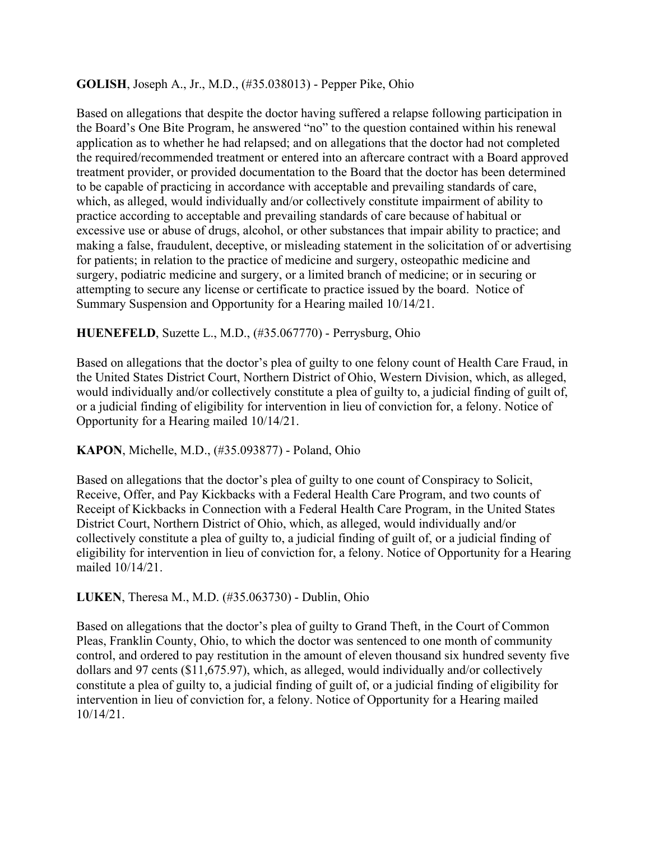### **GOLISH**, Joseph A., Jr., M.D., (#35.038013) - Pepper Pike, Ohio

Based on allegations that despite the doctor having suffered a relapse following participation in the Board's One Bite Program, he answered "no" to the question contained within his renewal application as to whether he had relapsed; and on allegations that the doctor had not completed the required/recommended treatment or entered into an aftercare contract with a Board approved treatment provider, or provided documentation to the Board that the doctor has been determined to be capable of practicing in accordance with acceptable and prevailing standards of care, which, as alleged, would individually and/or collectively constitute impairment of ability to practice according to acceptable and prevailing standards of care because of habitual or excessive use or abuse of drugs, alcohol, or other substances that impair ability to practice; and making a false, fraudulent, deceptive, or misleading statement in the solicitation of or advertising for patients; in relation to the practice of medicine and surgery, osteopathic medicine and surgery, podiatric medicine and surgery, or a limited branch of medicine; or in securing or attempting to secure any license or certificate to practice issued by the board. Notice of Summary Suspension and Opportunity for a Hearing mailed 10/14/21.

#### **HUENEFELD**, Suzette L., M.D., (#35.067770) - Perrysburg, Ohio

Based on allegations that the doctor's plea of guilty to one felony count of Health Care Fraud, in the United States District Court, Northern District of Ohio, Western Division, which, as alleged, would individually and/or collectively constitute a plea of guilty to, a judicial finding of guilt of, or a judicial finding of eligibility for intervention in lieu of conviction for, a felony. Notice of Opportunity for a Hearing mailed 10/14/21.

### **KAPON**, Michelle, M.D., (#35.093877) - Poland, Ohio

Based on allegations that the doctor's plea of guilty to one count of Conspiracy to Solicit, Receive, Offer, and Pay Kickbacks with a Federal Health Care Program, and two counts of Receipt of Kickbacks in Connection with a Federal Health Care Program, in the United States District Court, Northern District of Ohio, which, as alleged, would individually and/or collectively constitute a plea of guilty to, a judicial finding of guilt of, or a judicial finding of eligibility for intervention in lieu of conviction for, a felony. Notice of Opportunity for a Hearing mailed 10/14/21.

#### **LUKEN**, Theresa M., M.D. (#35.063730) - Dublin, Ohio

Based on allegations that the doctor's plea of guilty to Grand Theft, in the Court of Common Pleas, Franklin County, Ohio, to which the doctor was sentenced to one month of community control, and ordered to pay restitution in the amount of eleven thousand six hundred seventy five dollars and 97 cents (\$11,675.97), which, as alleged, would individually and/or collectively constitute a plea of guilty to, a judicial finding of guilt of, or a judicial finding of eligibility for intervention in lieu of conviction for, a felony. Notice of Opportunity for a Hearing mailed 10/14/21.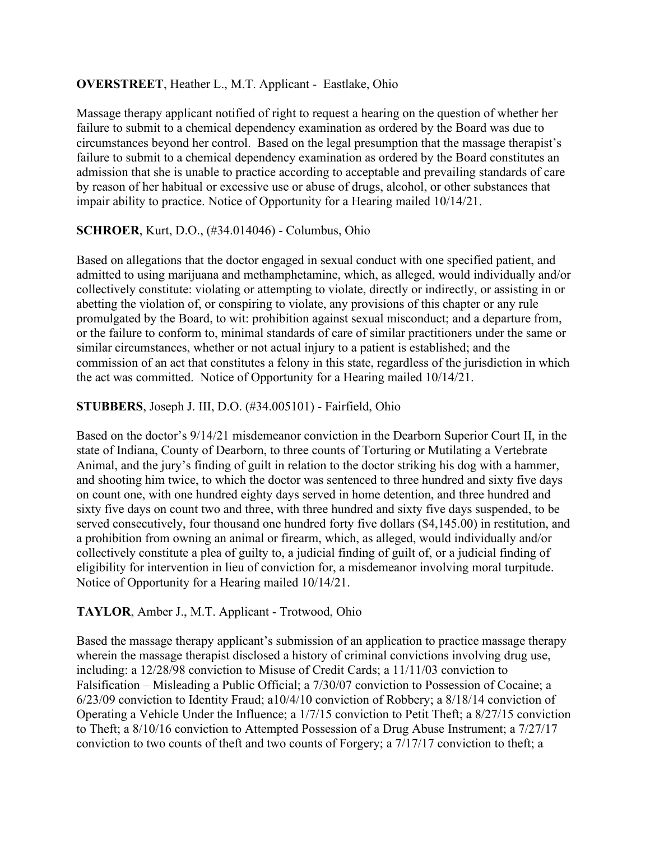### **OVERSTREET**, Heather L., M.T. Applicant - Eastlake, Ohio

Massage therapy applicant notified of right to request a hearing on the question of whether her failure to submit to a chemical dependency examination as ordered by the Board was due to circumstances beyond her control. Based on the legal presumption that the massage therapist's failure to submit to a chemical dependency examination as ordered by the Board constitutes an admission that she is unable to practice according to acceptable and prevailing standards of care by reason of her habitual or excessive use or abuse of drugs, alcohol, or other substances that impair ability to practice. Notice of Opportunity for a Hearing mailed 10/14/21.

## **SCHROER**, Kurt, D.O., (#34.014046) - Columbus, Ohio

Based on allegations that the doctor engaged in sexual conduct with one specified patient, and admitted to using marijuana and methamphetamine, which, as alleged, would individually and/or collectively constitute: violating or attempting to violate, directly or indirectly, or assisting in or abetting the violation of, or conspiring to violate, any provisions of this chapter or any rule promulgated by the Board, to wit: prohibition against sexual misconduct; and a departure from, or the failure to conform to, minimal standards of care of similar practitioners under the same or similar circumstances, whether or not actual injury to a patient is established; and the commission of an act that constitutes a felony in this state, regardless of the jurisdiction in which the act was committed. Notice of Opportunity for a Hearing mailed 10/14/21.

### **STUBBERS**, Joseph J. III, D.O. (#34.005101) - Fairfield, Ohio

Based on the doctor's 9/14/21 misdemeanor conviction in the Dearborn Superior Court II, in the state of Indiana, County of Dearborn, to three counts of Torturing or Mutilating a Vertebrate Animal, and the jury's finding of guilt in relation to the doctor striking his dog with a hammer, and shooting him twice, to which the doctor was sentenced to three hundred and sixty five days on count one, with one hundred eighty days served in home detention, and three hundred and sixty five days on count two and three, with three hundred and sixty five days suspended, to be served consecutively, four thousand one hundred forty five dollars (\$4,145.00) in restitution, and a prohibition from owning an animal or firearm, which, as alleged, would individually and/or collectively constitute a plea of guilty to, a judicial finding of guilt of, or a judicial finding of eligibility for intervention in lieu of conviction for, a misdemeanor involving moral turpitude. Notice of Opportunity for a Hearing mailed 10/14/21.

### **TAYLOR**, Amber J., M.T. Applicant - Trotwood, Ohio

Based the massage therapy applicant's submission of an application to practice massage therapy wherein the massage therapist disclosed a history of criminal convictions involving drug use, including: a 12/28/98 conviction to Misuse of Credit Cards; a 11/11/03 conviction to Falsification – Misleading a Public Official; a 7/30/07 conviction to Possession of Cocaine; a 6/23/09 conviction to Identity Fraud; a10/4/10 conviction of Robbery; a 8/18/14 conviction of Operating a Vehicle Under the Influence; a 1/7/15 conviction to Petit Theft; a 8/27/15 conviction to Theft; a 8/10/16 conviction to Attempted Possession of a Drug Abuse Instrument; a 7/27/17 conviction to two counts of theft and two counts of Forgery; a 7/17/17 conviction to theft; a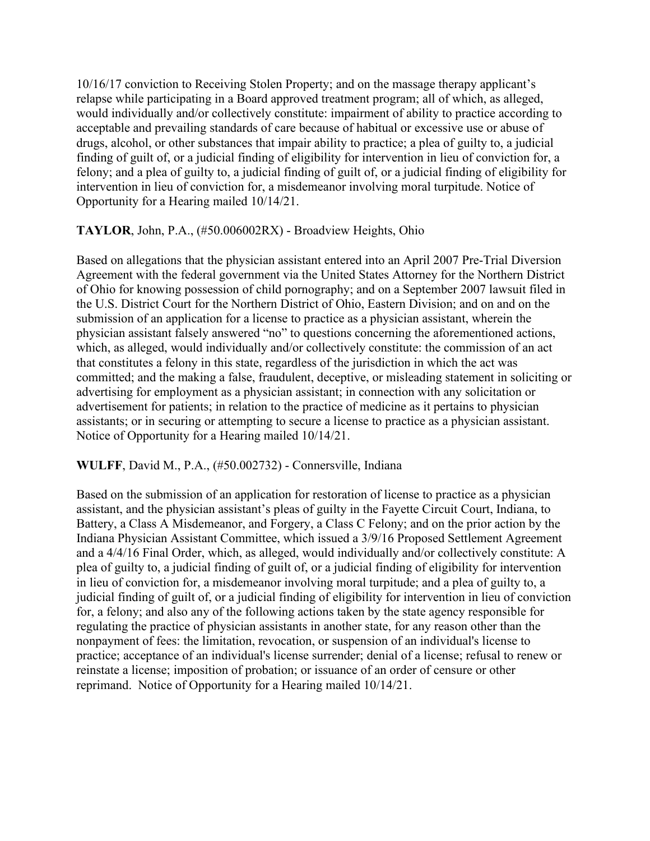10/16/17 conviction to Receiving Stolen Property; and on the massage therapy applicant's relapse while participating in a Board approved treatment program; all of which, as alleged, would individually and/or collectively constitute: impairment of ability to practice according to acceptable and prevailing standards of care because of habitual or excessive use or abuse of drugs, alcohol, or other substances that impair ability to practice; a plea of guilty to, a judicial finding of guilt of, or a judicial finding of eligibility for intervention in lieu of conviction for, a felony; and a plea of guilty to, a judicial finding of guilt of, or a judicial finding of eligibility for intervention in lieu of conviction for, a misdemeanor involving moral turpitude. Notice of Opportunity for a Hearing mailed 10/14/21.

### **TAYLOR**, John, P.A., (#50.006002RX) - Broadview Heights, Ohio

Based on allegations that the physician assistant entered into an April 2007 Pre-Trial Diversion Agreement with the federal government via the United States Attorney for the Northern District of Ohio for knowing possession of child pornography; and on a September 2007 lawsuit filed in the U.S. District Court for the Northern District of Ohio, Eastern Division; and on and on the submission of an application for a license to practice as a physician assistant, wherein the physician assistant falsely answered "no" to questions concerning the aforementioned actions, which, as alleged, would individually and/or collectively constitute: the commission of an act that constitutes a felony in this state, regardless of the jurisdiction in which the act was committed; and the making a false, fraudulent, deceptive, or misleading statement in soliciting or advertising for employment as a physician assistant; in connection with any solicitation or advertisement for patients; in relation to the practice of medicine as it pertains to physician assistants; or in securing or attempting to secure a license to practice as a physician assistant. Notice of Opportunity for a Hearing mailed 10/14/21.

#### **WULFF**, David M., P.A., (#50.002732) - Connersville, Indiana

Based on the submission of an application for restoration of license to practice as a physician assistant, and the physician assistant's pleas of guilty in the Fayette Circuit Court, Indiana, to Battery, a Class A Misdemeanor, and Forgery, a Class C Felony; and on the prior action by the Indiana Physician Assistant Committee, which issued a 3/9/16 Proposed Settlement Agreement and a 4/4/16 Final Order, which, as alleged, would individually and/or collectively constitute: A plea of guilty to, a judicial finding of guilt of, or a judicial finding of eligibility for intervention in lieu of conviction for, a misdemeanor involving moral turpitude; and a plea of guilty to, a judicial finding of guilt of, or a judicial finding of eligibility for intervention in lieu of conviction for, a felony; and also any of the following actions taken by the state agency responsible for regulating the practice of physician assistants in another state, for any reason other than the nonpayment of fees: the limitation, revocation, or suspension of an individual's license to practice; acceptance of an individual's license surrender; denial of a license; refusal to renew or reinstate a license; imposition of probation; or issuance of an order of censure or other reprimand. Notice of Opportunity for a Hearing mailed 10/14/21.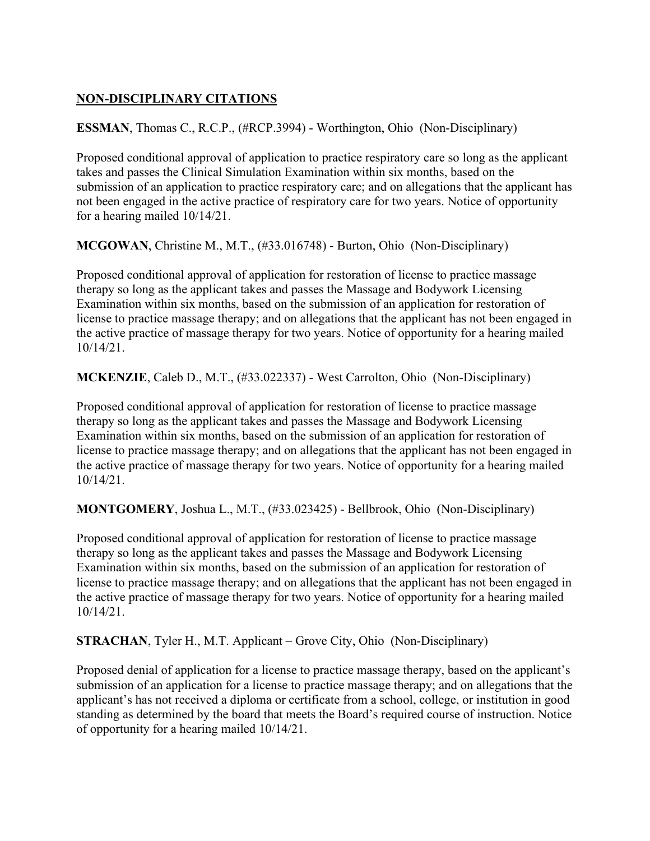# **NON-DISCIPLINARY CITATIONS**

**ESSMAN**, Thomas C., R.C.P., (#RCP.3994) - Worthington, Ohio (Non-Disciplinary)

Proposed conditional approval of application to practice respiratory care so long as the applicant takes and passes the Clinical Simulation Examination within six months, based on the submission of an application to practice respiratory care; and on allegations that the applicant has not been engaged in the active practice of respiratory care for two years. Notice of opportunity for a hearing mailed 10/14/21.

**MCGOWAN**, Christine M., M.T., (#33.016748) - Burton, Ohio (Non-Disciplinary)

Proposed conditional approval of application for restoration of license to practice massage therapy so long as the applicant takes and passes the Massage and Bodywork Licensing Examination within six months, based on the submission of an application for restoration of license to practice massage therapy; and on allegations that the applicant has not been engaged in the active practice of massage therapy for two years. Notice of opportunity for a hearing mailed 10/14/21.

**MCKENZIE**, Caleb D., M.T., (#33.022337) - West Carrolton, Ohio (Non-Disciplinary)

Proposed conditional approval of application for restoration of license to practice massage therapy so long as the applicant takes and passes the Massage and Bodywork Licensing Examination within six months, based on the submission of an application for restoration of license to practice massage therapy; and on allegations that the applicant has not been engaged in the active practice of massage therapy for two years. Notice of opportunity for a hearing mailed 10/14/21.

**MONTGOMERY**, Joshua L., M.T., (#33.023425) - Bellbrook, Ohio (Non-Disciplinary)

Proposed conditional approval of application for restoration of license to practice massage therapy so long as the applicant takes and passes the Massage and Bodywork Licensing Examination within six months, based on the submission of an application for restoration of license to practice massage therapy; and on allegations that the applicant has not been engaged in the active practice of massage therapy for two years. Notice of opportunity for a hearing mailed 10/14/21.

**STRACHAN**, Tyler H., M.T. Applicant – Grove City, Ohio (Non-Disciplinary)

Proposed denial of application for a license to practice massage therapy, based on the applicant's submission of an application for a license to practice massage therapy; and on allegations that the applicant's has not received a diploma or certificate from a school, college, or institution in good standing as determined by the board that meets the Board's required course of instruction. Notice of opportunity for a hearing mailed 10/14/21.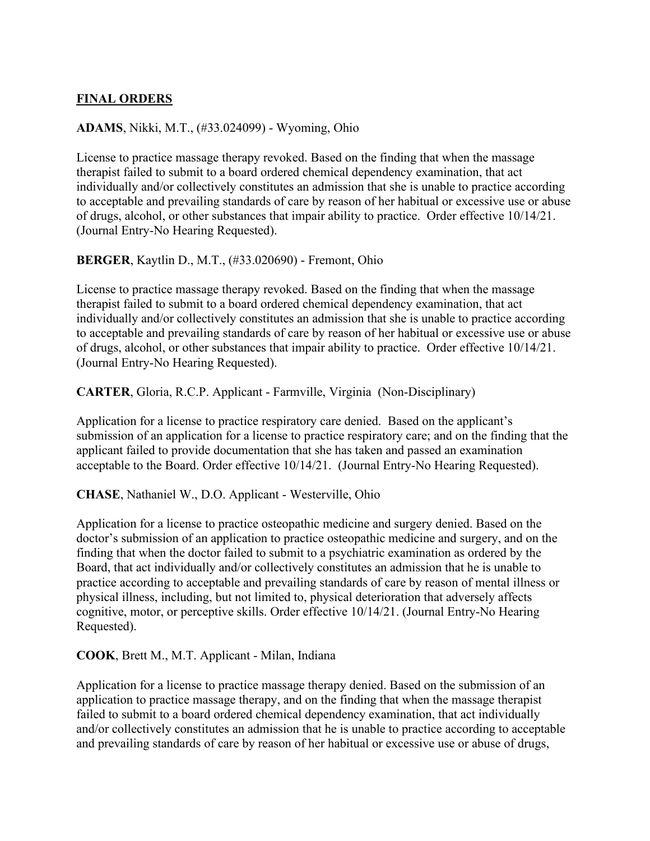### **FINAL ORDERS**

### **ADAMS**, Nikki, M.T., (#33.024099) - Wyoming, Ohio

License to practice massage therapy revoked. Based on the finding that when the massage therapist failed to submit to a board ordered chemical dependency examination, that act individually and/or collectively constitutes an admission that she is unable to practice according to acceptable and prevailing standards of care by reason of her habitual or excessive use or abuse of drugs, alcohol, or other substances that impair ability to practice. Order effective 10/14/21. (Journal Entry-No Hearing Requested).

#### **BERGER**, Kaytlin D., M.T., (#33.020690) - Fremont, Ohio

License to practice massage therapy revoked. Based on the finding that when the massage therapist failed to submit to a board ordered chemical dependency examination, that act individually and/or collectively constitutes an admission that she is unable to practice according to acceptable and prevailing standards of care by reason of her habitual or excessive use or abuse of drugs, alcohol, or other substances that impair ability to practice. Order effective 10/14/21. (Journal Entry-No Hearing Requested).

**CARTER**, Gloria, R.C.P. Applicant - Farmville, Virginia (Non-Disciplinary)

Application for a license to practice respiratory care denied. Based on the applicant's submission of an application for a license to practice respiratory care; and on the finding that the applicant failed to provide documentation that she has taken and passed an examination acceptable to the Board. Order effective 10/14/21. (Journal Entry-No Hearing Requested).

**CHASE**, Nathaniel W., D.O. Applicant - Westerville, Ohio

Application for a license to practice osteopathic medicine and surgery denied. Based on the doctor's submission of an application to practice osteopathic medicine and surgery, and on the finding that when the doctor failed to submit to a psychiatric examination as ordered by the Board, that act individually and/or collectively constitutes an admission that he is unable to practice according to acceptable and prevailing standards of care by reason of mental illness or physical illness, including, but not limited to, physical deterioration that adversely affects cognitive, motor, or perceptive skills. Order effective 10/14/21. (Journal Entry-No Hearing Requested).

**COOK**, Brett M., M.T. Applicant - Milan, Indiana

Application for a license to practice massage therapy denied. Based on the submission of an application to practice massage therapy, and on the finding that when the massage therapist failed to submit to a board ordered chemical dependency examination, that act individually and/or collectively constitutes an admission that he is unable to practice according to acceptable and prevailing standards of care by reason of her habitual or excessive use or abuse of drugs,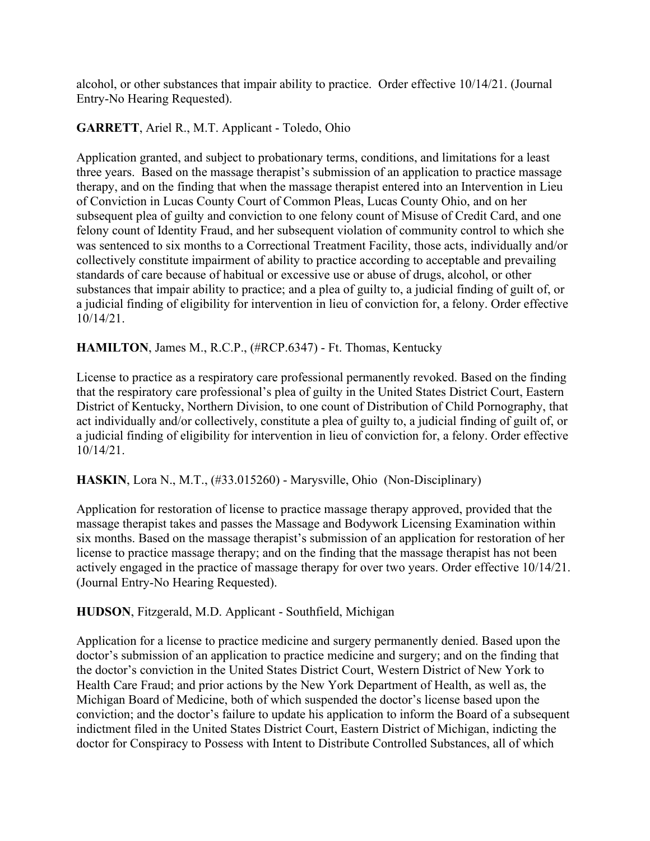alcohol, or other substances that impair ability to practice. Order effective 10/14/21. (Journal Entry-No Hearing Requested).

### **GARRETT**, Ariel R., M.T. Applicant - Toledo, Ohio

Application granted, and subject to probationary terms, conditions, and limitations for a least three years. Based on the massage therapist's submission of an application to practice massage therapy, and on the finding that when the massage therapist entered into an Intervention in Lieu of Conviction in Lucas County Court of Common Pleas, Lucas County Ohio, and on her subsequent plea of guilty and conviction to one felony count of Misuse of Credit Card, and one felony count of Identity Fraud, and her subsequent violation of community control to which she was sentenced to six months to a Correctional Treatment Facility, those acts, individually and/or collectively constitute impairment of ability to practice according to acceptable and prevailing standards of care because of habitual or excessive use or abuse of drugs, alcohol, or other substances that impair ability to practice; and a plea of guilty to, a judicial finding of guilt of, or a judicial finding of eligibility for intervention in lieu of conviction for, a felony. Order effective 10/14/21.

## **HAMILTON**, James M., R.C.P., (#RCP.6347) - Ft. Thomas, Kentucky

License to practice as a respiratory care professional permanently revoked. Based on the finding that the respiratory care professional's plea of guilty in the United States District Court, Eastern District of Kentucky, Northern Division, to one count of Distribution of Child Pornography, that act individually and/or collectively, constitute a plea of guilty to, a judicial finding of guilt of, or a judicial finding of eligibility for intervention in lieu of conviction for, a felony. Order effective 10/14/21.

### **HASKIN**, Lora N., M.T., (#33.015260) - Marysville, Ohio (Non-Disciplinary)

Application for restoration of license to practice massage therapy approved, provided that the massage therapist takes and passes the Massage and Bodywork Licensing Examination within six months. Based on the massage therapist's submission of an application for restoration of her license to practice massage therapy; and on the finding that the massage therapist has not been actively engaged in the practice of massage therapy for over two years. Order effective 10/14/21. (Journal Entry-No Hearing Requested).

### **HUDSON**, Fitzgerald, M.D. Applicant - Southfield, Michigan

Application for a license to practice medicine and surgery permanently denied. Based upon the doctor's submission of an application to practice medicine and surgery; and on the finding that the doctor's conviction in the United States District Court, Western District of New York to Health Care Fraud; and prior actions by the New York Department of Health, as well as, the Michigan Board of Medicine, both of which suspended the doctor's license based upon the conviction; and the doctor's failure to update his application to inform the Board of a subsequent indictment filed in the United States District Court, Eastern District of Michigan, indicting the doctor for Conspiracy to Possess with Intent to Distribute Controlled Substances, all of which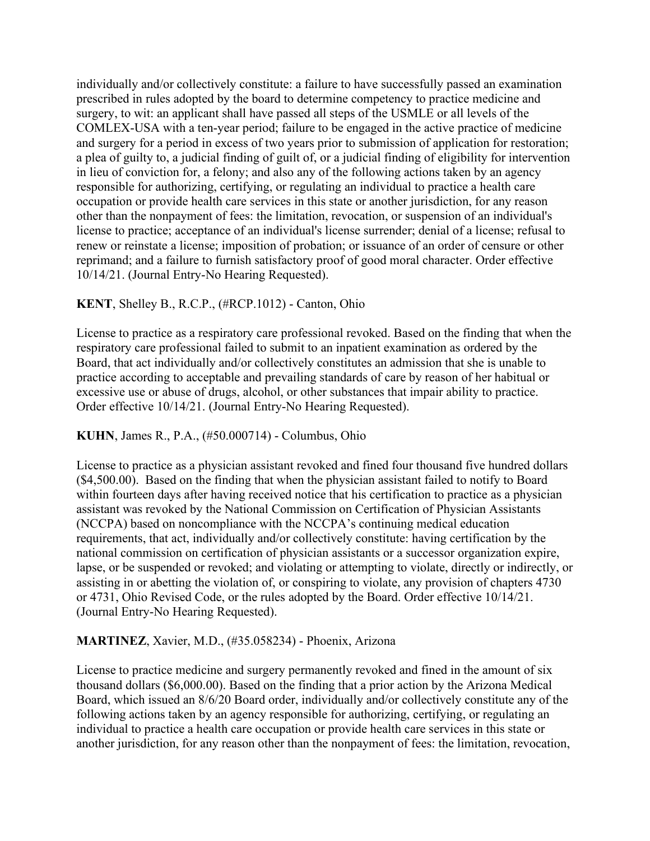individually and/or collectively constitute: a failure to have successfully passed an examination prescribed in rules adopted by the board to determine competency to practice medicine and surgery, to wit: an applicant shall have passed all steps of the USMLE or all levels of the COMLEX-USA with a ten-year period; failure to be engaged in the active practice of medicine and surgery for a period in excess of two years prior to submission of application for restoration; a plea of guilty to, a judicial finding of guilt of, or a judicial finding of eligibility for intervention in lieu of conviction for, a felony; and also any of the following actions taken by an agency responsible for authorizing, certifying, or regulating an individual to practice a health care occupation or provide health care services in this state or another jurisdiction, for any reason other than the nonpayment of fees: the limitation, revocation, or suspension of an individual's license to practice; acceptance of an individual's license surrender; denial of a license; refusal to renew or reinstate a license; imposition of probation; or issuance of an order of censure or other reprimand; and a failure to furnish satisfactory proof of good moral character. Order effective 10/14/21. (Journal Entry-No Hearing Requested).

### **KENT**, Shelley B., R.C.P., (#RCP.1012) - Canton, Ohio

License to practice as a respiratory care professional revoked. Based on the finding that when the respiratory care professional failed to submit to an inpatient examination as ordered by the Board, that act individually and/or collectively constitutes an admission that she is unable to practice according to acceptable and prevailing standards of care by reason of her habitual or excessive use or abuse of drugs, alcohol, or other substances that impair ability to practice. Order effective 10/14/21. (Journal Entry-No Hearing Requested).

#### **KUHN**, James R., P.A., (#50.000714) - Columbus, Ohio

License to practice as a physician assistant revoked and fined four thousand five hundred dollars (\$4,500.00). Based on the finding that when the physician assistant failed to notify to Board within fourteen days after having received notice that his certification to practice as a physician assistant was revoked by the National Commission on Certification of Physician Assistants (NCCPA) based on noncompliance with the NCCPA's continuing medical education requirements, that act, individually and/or collectively constitute: having certification by the national commission on certification of physician assistants or a successor organization expire, lapse, or be suspended or revoked; and violating or attempting to violate, directly or indirectly, or assisting in or abetting the violation of, or conspiring to violate, any provision of chapters 4730 or 4731, Ohio Revised Code, or the rules adopted by the Board. Order effective 10/14/21. (Journal Entry-No Hearing Requested).

### **MARTINEZ**, Xavier, M.D., (#35.058234) - Phoenix, Arizona

License to practice medicine and surgery permanently revoked and fined in the amount of six thousand dollars (\$6,000.00). Based on the finding that a prior action by the Arizona Medical Board, which issued an 8/6/20 Board order, individually and/or collectively constitute any of the following actions taken by an agency responsible for authorizing, certifying, or regulating an individual to practice a health care occupation or provide health care services in this state or another jurisdiction, for any reason other than the nonpayment of fees: the limitation, revocation,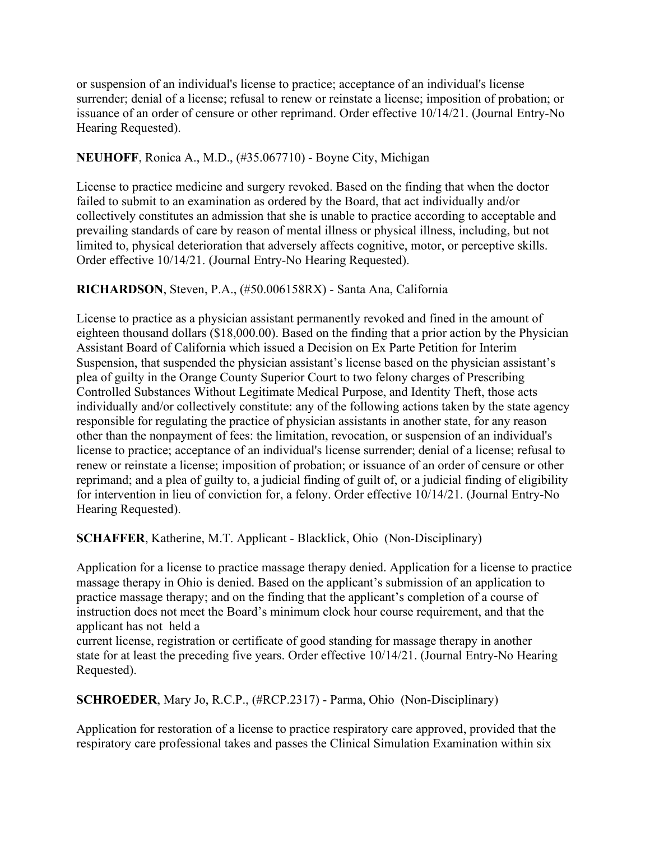or suspension of an individual's license to practice; acceptance of an individual's license surrender; denial of a license; refusal to renew or reinstate a license; imposition of probation; or issuance of an order of censure or other reprimand. Order effective 10/14/21. (Journal Entry-No Hearing Requested).

## **NEUHOFF**, Ronica A., M.D., (#35.067710) - Boyne City, Michigan

License to practice medicine and surgery revoked. Based on the finding that when the doctor failed to submit to an examination as ordered by the Board, that act individually and/or collectively constitutes an admission that she is unable to practice according to acceptable and prevailing standards of care by reason of mental illness or physical illness, including, but not limited to, physical deterioration that adversely affects cognitive, motor, or perceptive skills. Order effective 10/14/21. (Journal Entry-No Hearing Requested).

## **RICHARDSON**, Steven, P.A., (#50.006158RX) - Santa Ana, California

License to practice as a physician assistant permanently revoked and fined in the amount of eighteen thousand dollars (\$18,000.00). Based on the finding that a prior action by the Physician Assistant Board of California which issued a Decision on Ex Parte Petition for Interim Suspension, that suspended the physician assistant's license based on the physician assistant's plea of guilty in the Orange County Superior Court to two felony charges of Prescribing Controlled Substances Without Legitimate Medical Purpose, and Identity Theft, those acts individually and/or collectively constitute: any of the following actions taken by the state agency responsible for regulating the practice of physician assistants in another state, for any reason other than the nonpayment of fees: the limitation, revocation, or suspension of an individual's license to practice; acceptance of an individual's license surrender; denial of a license; refusal to renew or reinstate a license; imposition of probation; or issuance of an order of censure or other reprimand; and a plea of guilty to, a judicial finding of guilt of, or a judicial finding of eligibility for intervention in lieu of conviction for, a felony. Order effective 10/14/21. (Journal Entry-No Hearing Requested).

**SCHAFFER**, Katherine, M.T. Applicant - Blacklick, Ohio (Non-Disciplinary)

Application for a license to practice massage therapy denied. Application for a license to practice massage therapy in Ohio is denied. Based on the applicant's submission of an application to practice massage therapy; and on the finding that the applicant's completion of a course of instruction does not meet the Board's minimum clock hour course requirement, and that the applicant has not held a

current license, registration or certificate of good standing for massage therapy in another state for at least the preceding five years. Order effective 10/14/21. (Journal Entry-No Hearing Requested).

**SCHROEDER**, Mary Jo, R.C.P., (#RCP.2317) - Parma, Ohio (Non-Disciplinary)

Application for restoration of a license to practice respiratory care approved, provided that the respiratory care professional takes and passes the Clinical Simulation Examination within six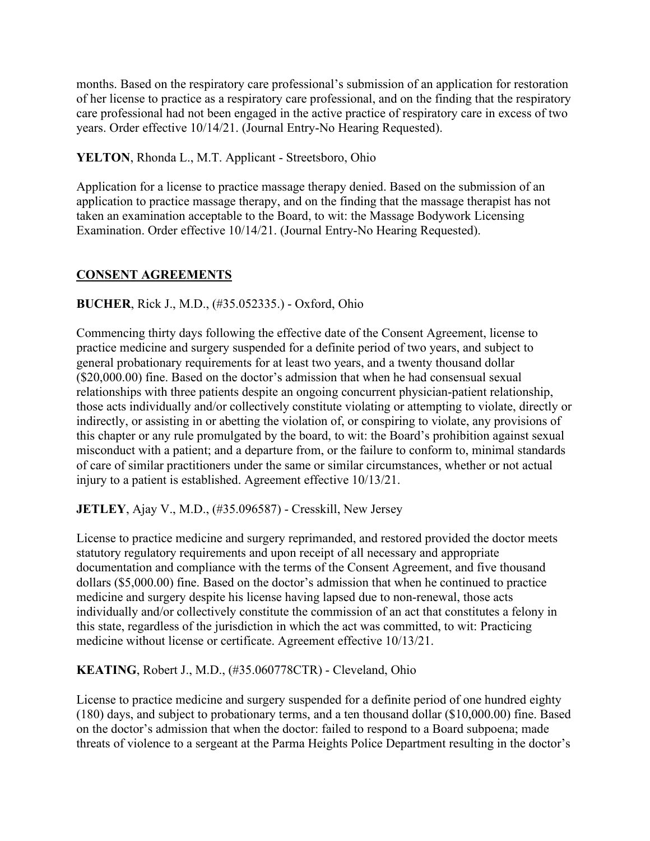months. Based on the respiratory care professional's submission of an application for restoration of her license to practice as a respiratory care professional, and on the finding that the respiratory care professional had not been engaged in the active practice of respiratory care in excess of two years. Order effective 10/14/21. (Journal Entry-No Hearing Requested).

**YELTON**, Rhonda L., M.T. Applicant - Streetsboro, Ohio

Application for a license to practice massage therapy denied. Based on the submission of an application to practice massage therapy, and on the finding that the massage therapist has not taken an examination acceptable to the Board, to wit: the Massage Bodywork Licensing Examination. Order effective 10/14/21. (Journal Entry-No Hearing Requested).

# **CONSENT AGREEMENTS**

## **BUCHER**, Rick J., M.D., (#35.052335.) - Oxford, Ohio

Commencing thirty days following the effective date of the Consent Agreement, license to practice medicine and surgery suspended for a definite period of two years, and subject to general probationary requirements for at least two years, and a twenty thousand dollar (\$20,000.00) fine. Based on the doctor's admission that when he had consensual sexual relationships with three patients despite an ongoing concurrent physician-patient relationship, those acts individually and/or collectively constitute violating or attempting to violate, directly or indirectly, or assisting in or abetting the violation of, or conspiring to violate, any provisions of this chapter or any rule promulgated by the board, to wit: the Board's prohibition against sexual misconduct with a patient; and a departure from, or the failure to conform to, minimal standards of care of similar practitioners under the same or similar circumstances, whether or not actual injury to a patient is established. Agreement effective 10/13/21.

**JETLEY**, Ajay V., M.D., (#35.096587) - Cresskill, New Jersey

License to practice medicine and surgery reprimanded, and restored provided the doctor meets statutory regulatory requirements and upon receipt of all necessary and appropriate documentation and compliance with the terms of the Consent Agreement, and five thousand dollars (\$5,000.00) fine. Based on the doctor's admission that when he continued to practice medicine and surgery despite his license having lapsed due to non-renewal, those acts individually and/or collectively constitute the commission of an act that constitutes a felony in this state, regardless of the jurisdiction in which the act was committed, to wit: Practicing medicine without license or certificate. Agreement effective 10/13/21.

**KEATING**, Robert J., M.D., (#35.060778CTR) - Cleveland, Ohio

License to practice medicine and surgery suspended for a definite period of one hundred eighty (180) days, and subject to probationary terms, and a ten thousand dollar (\$10,000.00) fine. Based on the doctor's admission that when the doctor: failed to respond to a Board subpoena; made threats of violence to a sergeant at the Parma Heights Police Department resulting in the doctor's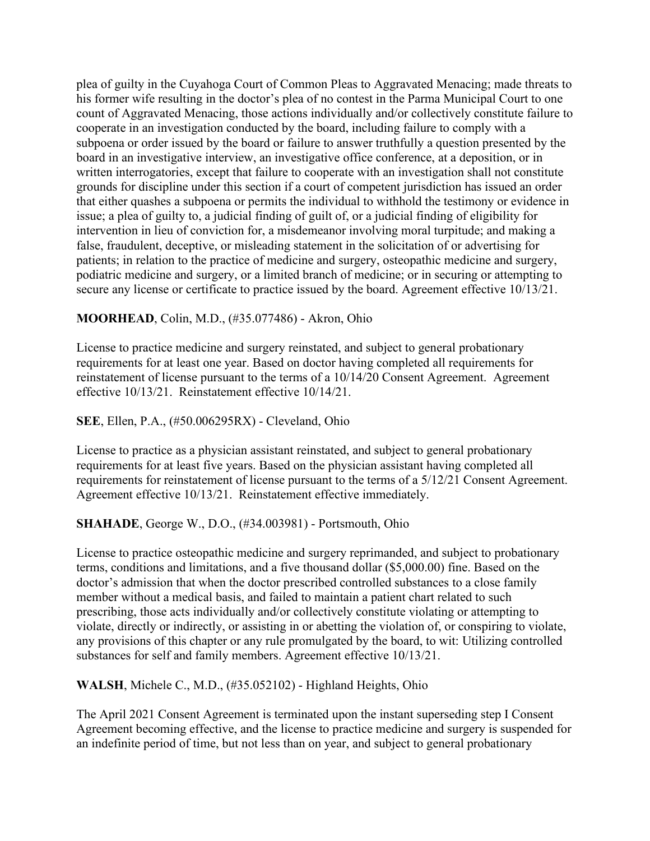plea of guilty in the Cuyahoga Court of Common Pleas to Aggravated Menacing; made threats to his former wife resulting in the doctor's plea of no contest in the Parma Municipal Court to one count of Aggravated Menacing, those actions individually and/or collectively constitute failure to cooperate in an investigation conducted by the board, including failure to comply with a subpoena or order issued by the board or failure to answer truthfully a question presented by the board in an investigative interview, an investigative office conference, at a deposition, or in written interrogatories, except that failure to cooperate with an investigation shall not constitute grounds for discipline under this section if a court of competent jurisdiction has issued an order that either quashes a subpoena or permits the individual to withhold the testimony or evidence in issue; a plea of guilty to, a judicial finding of guilt of, or a judicial finding of eligibility for intervention in lieu of conviction for, a misdemeanor involving moral turpitude; and making a false, fraudulent, deceptive, or misleading statement in the solicitation of or advertising for patients; in relation to the practice of medicine and surgery, osteopathic medicine and surgery, podiatric medicine and surgery, or a limited branch of medicine; or in securing or attempting to secure any license or certificate to practice issued by the board. Agreement effective 10/13/21.

### **MOORHEAD**, Colin, M.D., (#35.077486) - Akron, Ohio

License to practice medicine and surgery reinstated, and subject to general probationary requirements for at least one year. Based on doctor having completed all requirements for reinstatement of license pursuant to the terms of a 10/14/20 Consent Agreement. Agreement effective 10/13/21. Reinstatement effective 10/14/21.

### **SEE**, Ellen, P.A., (#50.006295RX) - Cleveland, Ohio

License to practice as a physician assistant reinstated, and subject to general probationary requirements for at least five years. Based on the physician assistant having completed all requirements for reinstatement of license pursuant to the terms of a 5/12/21 Consent Agreement. Agreement effective 10/13/21. Reinstatement effective immediately.

### **SHAHADE**, George W., D.O., (#34.003981) - Portsmouth, Ohio

License to practice osteopathic medicine and surgery reprimanded, and subject to probationary terms, conditions and limitations, and a five thousand dollar (\$5,000.00) fine. Based on the doctor's admission that when the doctor prescribed controlled substances to a close family member without a medical basis, and failed to maintain a patient chart related to such prescribing, those acts individually and/or collectively constitute violating or attempting to violate, directly or indirectly, or assisting in or abetting the violation of, or conspiring to violate, any provisions of this chapter or any rule promulgated by the board, to wit: Utilizing controlled substances for self and family members. Agreement effective 10/13/21.

**WALSH**, Michele C., M.D., (#35.052102) - Highland Heights, Ohio

The April 2021 Consent Agreement is terminated upon the instant superseding step I Consent Agreement becoming effective, and the license to practice medicine and surgery is suspended for an indefinite period of time, but not less than on year, and subject to general probationary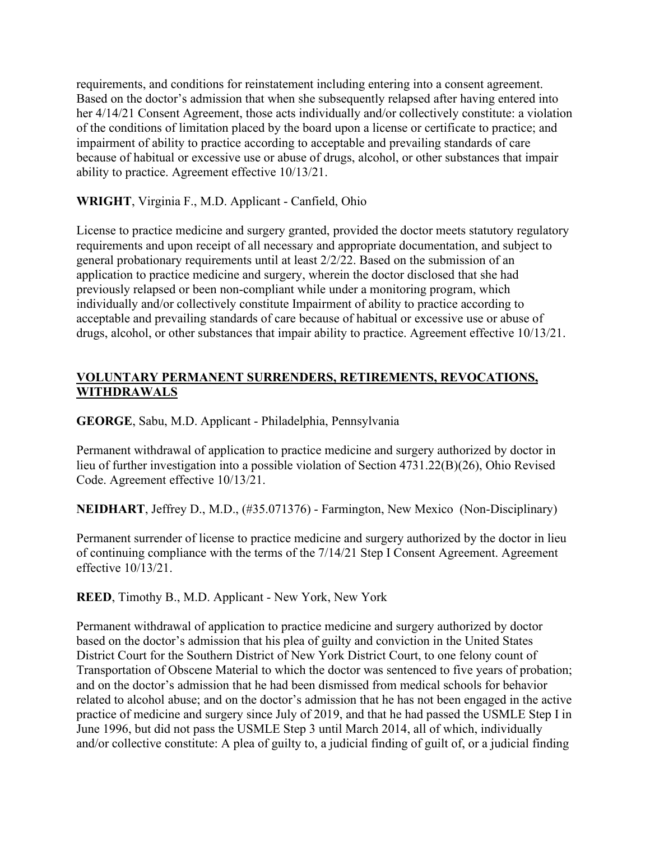requirements, and conditions for reinstatement including entering into a consent agreement. Based on the doctor's admission that when she subsequently relapsed after having entered into her 4/14/21 Consent Agreement, those acts individually and/or collectively constitute: a violation of the conditions of limitation placed by the board upon a license or certificate to practice; and impairment of ability to practice according to acceptable and prevailing standards of care because of habitual or excessive use or abuse of drugs, alcohol, or other substances that impair ability to practice. Agreement effective 10/13/21.

### **WRIGHT**, Virginia F., M.D. Applicant - Canfield, Ohio

License to practice medicine and surgery granted, provided the doctor meets statutory regulatory requirements and upon receipt of all necessary and appropriate documentation, and subject to general probationary requirements until at least 2/2/22. Based on the submission of an application to practice medicine and surgery, wherein the doctor disclosed that she had previously relapsed or been non-compliant while under a monitoring program, which individually and/or collectively constitute Impairment of ability to practice according to acceptable and prevailing standards of care because of habitual or excessive use or abuse of drugs, alcohol, or other substances that impair ability to practice. Agreement effective 10/13/21.

### **VOLUNTARY PERMANENT SURRENDERS, RETIREMENTS, REVOCATIONS, WITHDRAWALS**

**GEORGE**, Sabu, M.D. Applicant - Philadelphia, Pennsylvania

Permanent withdrawal of application to practice medicine and surgery authorized by doctor in lieu of further investigation into a possible violation of Section 4731.22(B)(26), Ohio Revised Code. Agreement effective 10/13/21.

**NEIDHART**, Jeffrey D., M.D., (#35.071376) - Farmington, New Mexico (Non-Disciplinary)

Permanent surrender of license to practice medicine and surgery authorized by the doctor in lieu of continuing compliance with the terms of the 7/14/21 Step I Consent Agreement. Agreement effective 10/13/21.

**REED**, Timothy B., M.D. Applicant - New York, New York

Permanent withdrawal of application to practice medicine and surgery authorized by doctor based on the doctor's admission that his plea of guilty and conviction in the United States District Court for the Southern District of New York District Court, to one felony count of Transportation of Obscene Material to which the doctor was sentenced to five years of probation; and on the doctor's admission that he had been dismissed from medical schools for behavior related to alcohol abuse; and on the doctor's admission that he has not been engaged in the active practice of medicine and surgery since July of 2019, and that he had passed the USMLE Step I in June 1996, but did not pass the USMLE Step 3 until March 2014, all of which, individually and/or collective constitute: A plea of guilty to, a judicial finding of guilt of, or a judicial finding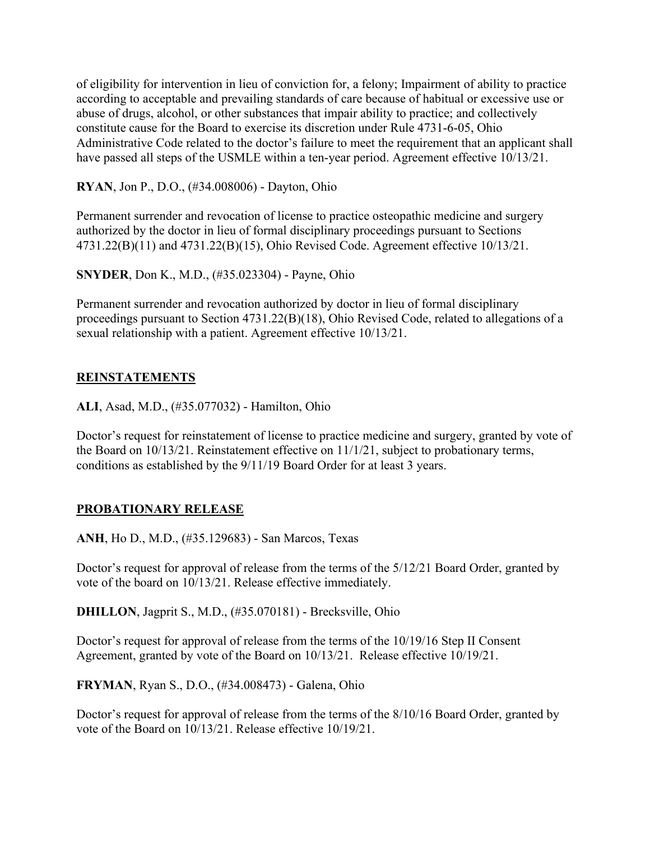of eligibility for intervention in lieu of conviction for, a felony; Impairment of ability to practice according to acceptable and prevailing standards of care because of habitual or excessive use or abuse of drugs, alcohol, or other substances that impair ability to practice; and collectively constitute cause for the Board to exercise its discretion under Rule 4731-6-05, Ohio Administrative Code related to the doctor's failure to meet the requirement that an applicant shall have passed all steps of the USMLE within a ten-year period. Agreement effective 10/13/21.

**RYAN**, Jon P., D.O., (#34.008006) - Dayton, Ohio

Permanent surrender and revocation of license to practice osteopathic medicine and surgery authorized by the doctor in lieu of formal disciplinary proceedings pursuant to Sections 4731.22(B)(11) and 4731.22(B)(15), Ohio Revised Code. Agreement effective 10/13/21.

**SNYDER**, Don K., M.D., (#35.023304) - Payne, Ohio

Permanent surrender and revocation authorized by doctor in lieu of formal disciplinary proceedings pursuant to Section 4731.22(B)(18), Ohio Revised Code, related to allegations of a sexual relationship with a patient. Agreement effective 10/13/21.

#### **REINSTATEMENTS**

**ALI**, Asad, M.D., (#35.077032) - Hamilton, Ohio

Doctor's request for reinstatement of license to practice medicine and surgery, granted by vote of the Board on 10/13/21. Reinstatement effective on 11/1/21, subject to probationary terms, conditions as established by the 9/11/19 Board Order for at least 3 years.

#### **PROBATIONARY RELEASE**

**ANH**, Ho D., M.D., (#35.129683) - San Marcos, Texas

Doctor's request for approval of release from the terms of the 5/12/21 Board Order, granted by vote of the board on 10/13/21. Release effective immediately.

**DHILLON**, Jagprit S., M.D., (#35.070181) - Brecksville, Ohio

Doctor's request for approval of release from the terms of the 10/19/16 Step II Consent Agreement, granted by vote of the Board on 10/13/21. Release effective 10/19/21.

**FRYMAN**, Ryan S., D.O., (#34.008473) - Galena, Ohio

Doctor's request for approval of release from the terms of the 8/10/16 Board Order, granted by vote of the Board on 10/13/21. Release effective 10/19/21.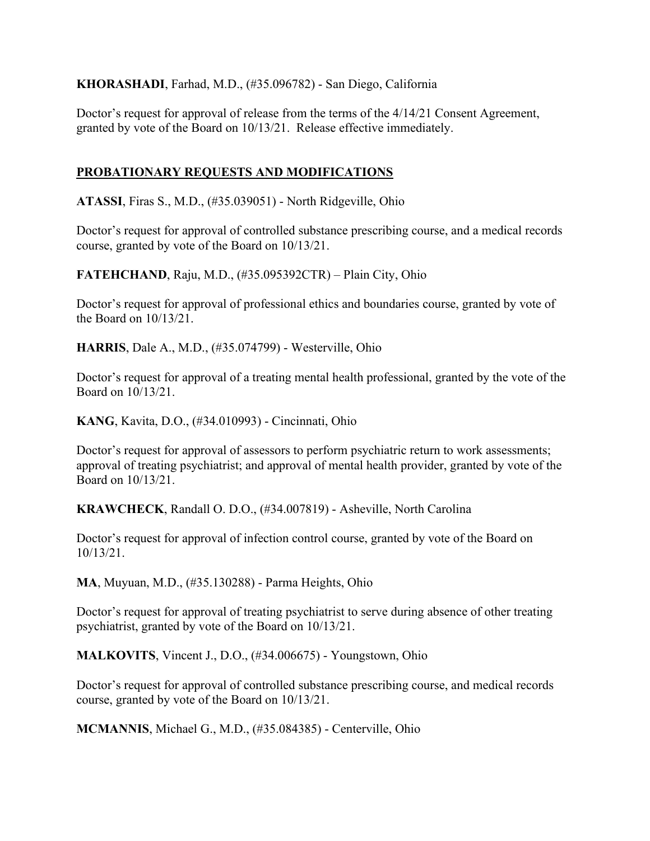**KHORASHADI**, Farhad, M.D., (#35.096782) - San Diego, California

Doctor's request for approval of release from the terms of the 4/14/21 Consent Agreement, granted by vote of the Board on 10/13/21. Release effective immediately.

### **PROBATIONARY REQUESTS AND MODIFICATIONS**

**ATASSI**, Firas S., M.D., (#35.039051) - North Ridgeville, Ohio

Doctor's request for approval of controlled substance prescribing course, and a medical records course, granted by vote of the Board on 10/13/21.

**FATEHCHAND**, Raju, M.D., (#35.095392CTR) – Plain City, Ohio

Doctor's request for approval of professional ethics and boundaries course, granted by vote of the Board on 10/13/21.

**HARRIS**, Dale A., M.D., (#35.074799) - Westerville, Ohio

Doctor's request for approval of a treating mental health professional, granted by the vote of the Board on 10/13/21.

**KANG**, Kavita, D.O., (#34.010993) - Cincinnati, Ohio

Doctor's request for approval of assessors to perform psychiatric return to work assessments; approval of treating psychiatrist; and approval of mental health provider, granted by vote of the Board on 10/13/21.

**KRAWCHECK**, Randall O. D.O., (#34.007819) - Asheville, North Carolina

Doctor's request for approval of infection control course, granted by vote of the Board on 10/13/21.

**MA**, Muyuan, M.D., (#35.130288) - Parma Heights, Ohio

Doctor's request for approval of treating psychiatrist to serve during absence of other treating psychiatrist, granted by vote of the Board on 10/13/21.

**MALKOVITS**, Vincent J., D.O., (#34.006675) - Youngstown, Ohio

Doctor's request for approval of controlled substance prescribing course, and medical records course, granted by vote of the Board on 10/13/21.

**MCMANNIS**, Michael G., M.D., (#35.084385) - Centerville, Ohio